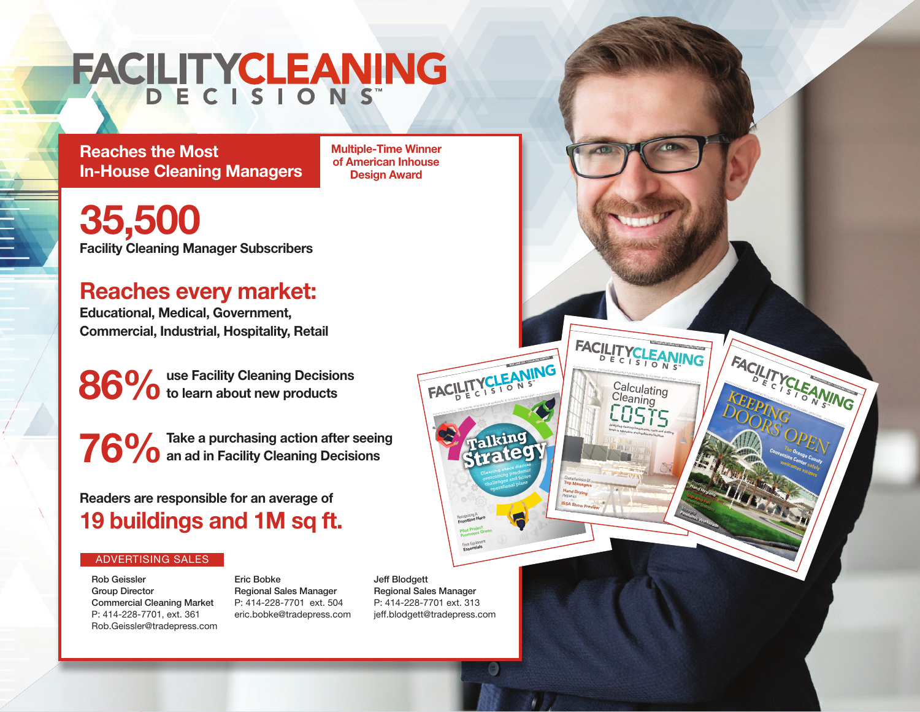## FACILITYCLEANING

**Reaches the Most In-House Cleaning Managers** **Multiple-Time Winner of American Inhouse Design Award**

**Facility Cleaning Manager Subscribers 35,500**

## **Reaches every market:**

**Educational, Medical, Government, Commercial, Industrial, Hospitality, Retail**

**use Facility Cleaning Decisions**  86% use Facility Cleaning Decision<br> **86% o** to learn about new products

**Take a purchasing action after seeing a** an ad in Facility Cleaning Decisions **76 %** 

**Readers are responsible for an average of 19 buildings and 1M sq ft.**

## ADVERTISING SALES

Rob Geissler Group Director Commercial Cleaning Market P: 414-228-7701, ext. 361 Rob.Geissler@tradepress.com

Eric Bobke Regional Sales Manager P: 414-228-7701 ext. 504 eric.bobke@tradepress.com Jeff Blodgett Regional Sales Manager P: 414-228-7701 ext. 313 jeff.blodgett@tradepress.com

Recognizing A **Frontline Hero Pilot Project Promotes Green** Floor Equipment **Essentials**

**MAY/JUNE 2021 • CLEANLINK.COM/FCD**

THE LEADING RESOURCE FOR MANAGERS OF CLEANING OPERATIONS

**Talking Strategy**

Cleaning execs discuss leaning execution<br>overcoming pandemic vercoming rad future allenges plans

Foor Equinomination<br>Experimidian

Characteristics Of **Top Managers Hand Drying Hygienics ISSA Show Preview**

 $-$ 

**SEPTEMBER/OCTOBER 2021 • CLEANLINK.COM/FCD**

**MARCHI**<br>1 A J

**KEEPING** DOORS OPEN

**The Convention Center Orange County safely welcomes visitors**

 $\geq$ 

9/29/21 10:12 AM

 $\overline{\phantom{a}}$ 

Promoting **Hand Hygiene Slip-And-Fall**  Prevention Strategies Ma<sub>naging</sub> **Pandemic Workloads**

THE LEADING RESOURCE FOR MANAGERS OF CLEANING OPERATIONS Calculating<br>Cleaning EOSTS levels in education and healthcare facilities